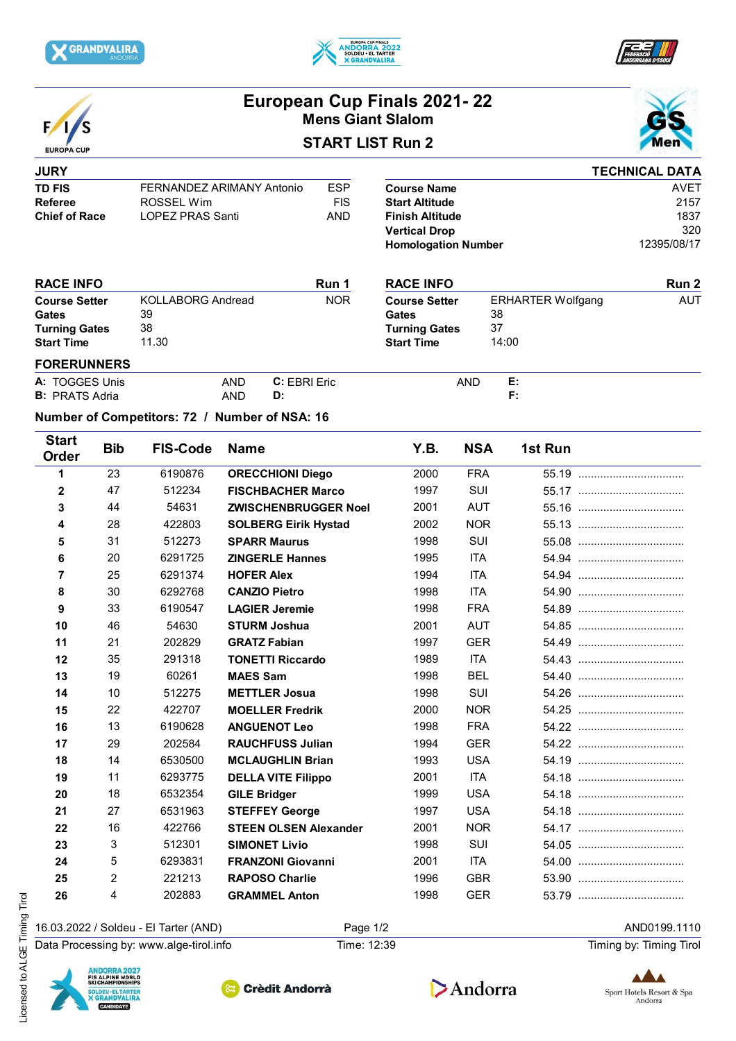





**TECHNICAL DATA**



## **European Cup Finals 2021- 22 Mens Giant Slalom**

## **START LIST Run 2**



**Run 2**

AUT

## **JURY TD FIS** FERNANDEZ ARIMANY Antonio ESP<br>Referee ROSSEL Wim FIS **Referee** ROSSEL Wim **ROSSEL Winder** FIS<br>
Chief of Race LOPEZ PRAS Santi AND **LOPEZ PRAS Santi**

|                            | I CUNIVAL DATA |
|----------------------------|----------------|
| <b>Course Name</b>         | AVFT           |
| <b>Start Altitude</b>      | 2157           |
| <b>Finish Altitude</b>     | 1837           |
| <b>Vertical Drop</b>       | 320            |
| <b>Homologation Number</b> | 12395/08/17    |

ERHARTER Wolfgang

38

14:00 37

| <b>RACE INFO</b>     |                          | Run 1      | <b>RACE INFO</b>     |
|----------------------|--------------------------|------------|----------------------|
| <b>Course Setter</b> | <b>KOLLABORG Andread</b> | <b>NOR</b> | <b>Course Setter</b> |
| <b>Gates</b>         | 39                       |            | Gates                |
| <b>Turning Gates</b> | 38                       |            | <b>Turning Gates</b> |
| <b>Start Time</b>    | 11.30                    |            | <b>Start Time</b>    |
| - ^ ^ - - ^          |                          |            |                      |

| <b>FORERUNNERS</b>    |     |                     |            |           |
|-----------------------|-----|---------------------|------------|-----------|
| A: TOGGES Unis        | AND | <b>C:</b> EBRI Eric | <b>AND</b> | р.<br>. . |
| <b>B:</b> PRATS Adria | AND | D:                  |            |           |

## **Number of Competitors: 72 / Number of NSA: 16**

| <b>Start</b><br>Order | <b>Bib</b> | <b>FIS-Code</b> | <b>Name</b>                  | Y.B. | <b>NSA</b> | 1st Run |
|-----------------------|------------|-----------------|------------------------------|------|------------|---------|
| 1                     | 23         | 6190876         | <b>ORECCHIONI Diego</b>      | 2000 | <b>FRA</b> |         |
| 2                     | 47         | 512234          | <b>FISCHBACHER Marco</b>     | 1997 | SUI        |         |
| 3                     | 44         | 54631           | <b>ZWISCHENBRUGGER Noel</b>  | 2001 | <b>AUT</b> |         |
| 4                     | 28         | 422803          | <b>SOLBERG Eirik Hystad</b>  | 2002 | <b>NOR</b> |         |
| 5                     | 31         | 512273          | <b>SPARR Maurus</b>          | 1998 | SUI        |         |
| 6                     | 20         | 6291725         | <b>ZINGERLE Hannes</b>       | 1995 | <b>ITA</b> |         |
| 7                     | 25         | 6291374         | <b>HOFER Alex</b>            | 1994 | <b>ITA</b> |         |
| 8                     | 30         | 6292768         | <b>CANZIO Pietro</b>         | 1998 | <b>ITA</b> |         |
| 9                     | 33         | 6190547         | <b>LAGIER Jeremie</b>        | 1998 | <b>FRA</b> |         |
| 10                    | 46         | 54630           | <b>STURM Joshua</b>          | 2001 | <b>AUT</b> |         |
| 11                    | 21         | 202829          | <b>GRATZ Fabian</b>          | 1997 | <b>GER</b> |         |
| 12                    | 35         | 291318          | <b>TONETTI Riccardo</b>      | 1989 | <b>ITA</b> |         |
| 13                    | 19         | 60261           | <b>MAES Sam</b>              | 1998 | <b>BEL</b> |         |
| 14                    | 10         | 512275          | <b>METTLER Josua</b>         | 1998 | SUI        |         |
| 15                    | 22         | 422707          | <b>MOELLER Fredrik</b>       | 2000 | <b>NOR</b> |         |
| 16                    | 13         | 6190628         | <b>ANGUENOT Leo</b>          | 1998 | <b>FRA</b> |         |
| 17                    | 29         | 202584          | <b>RAUCHFUSS Julian</b>      | 1994 | <b>GER</b> |         |
| 18                    | 14         | 6530500         | <b>MCLAUGHLIN Brian</b>      | 1993 | <b>USA</b> |         |
| 19                    | 11         | 6293775         | <b>DELLA VITE Filippo</b>    | 2001 | <b>ITA</b> |         |
| 20                    | 18         | 6532354         | <b>GILE Bridger</b>          | 1999 | <b>USA</b> |         |
| 21                    | 27         | 6531963         | <b>STEFFEY George</b>        | 1997 | <b>USA</b> |         |
| 22                    | 16         | 422766          | <b>STEEN OLSEN Alexander</b> | 2001 | <b>NOR</b> |         |
| 23                    | 3          | 512301          | <b>SIMONET Livio</b>         | 1998 | SUI        |         |
| 24                    | 5          | 6293831         | <b>FRANZONI Giovanni</b>     | 2001 | <b>ITA</b> |         |
| 25                    | 2          | 221213          | <b>RAPOSO Charlie</b>        | 1996 | <b>GBR</b> |         |
| 26                    | 4          | 202883          | <b>GRAMMEL Anton</b>         | 1998 | <b>GER</b> |         |
|                       |            |                 |                              |      |            |         |